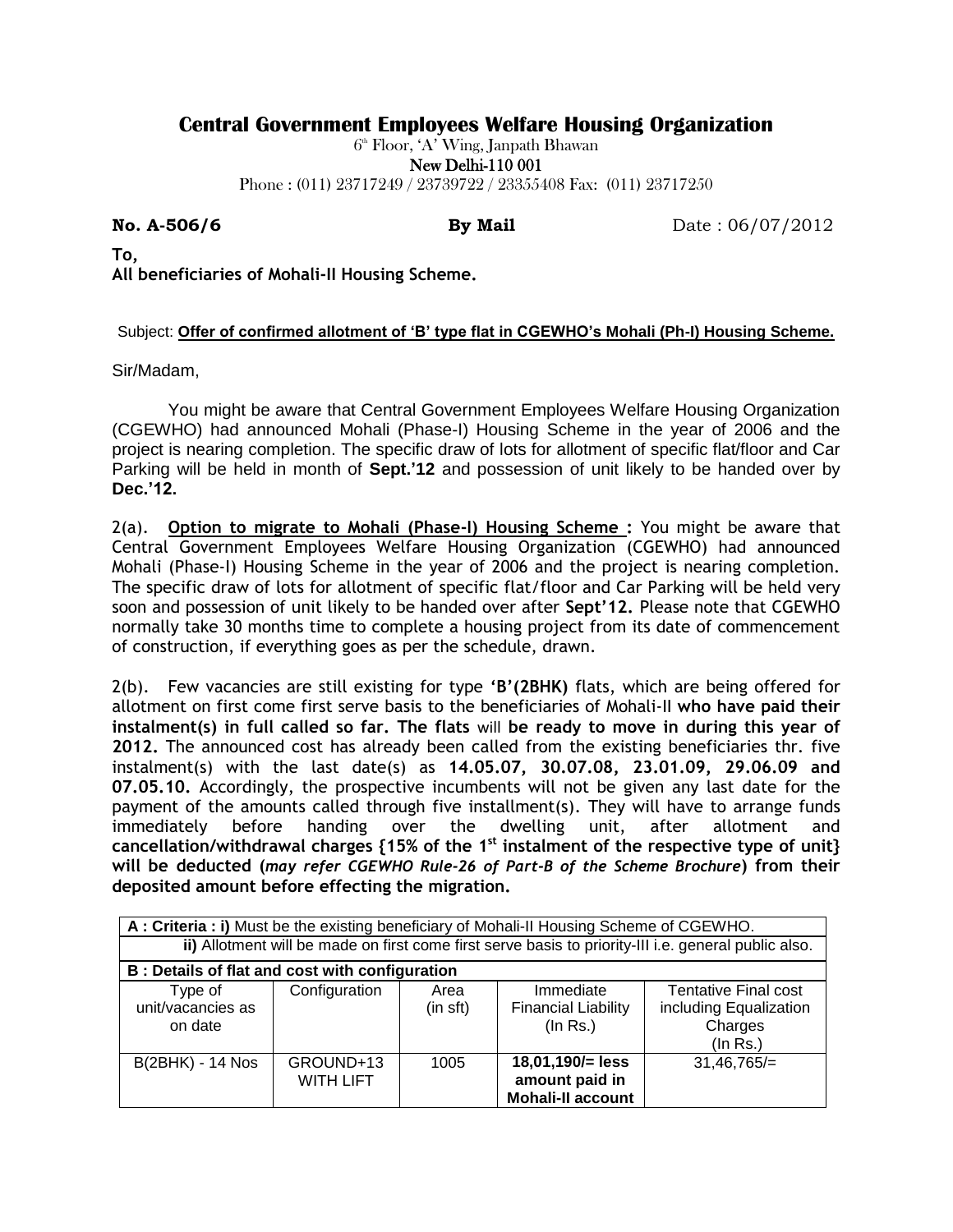## **Central Government Employees Welfare Housing Organization**

 $6^{\text{\tiny th}}$  Floor, 'A' Wing, Janpath Bhawan

New Delhi-110 001

Phone : (011) 23717249 / 23739722 / 23355408 Fax: (011) 23717250

**No. A-506/6 By Mail** Date : 06/07/2012

**To, All beneficiaries of Mohali-II Housing Scheme.**

## Subject: **Offer of confirmed allotment of 'B' type flat in CGEWHO's Mohali (Ph-I) Housing Scheme.**

Sir/Madam,

You might be aware that Central Government Employees Welfare Housing Organization (CGEWHO) had announced Mohali (Phase-I) Housing Scheme in the year of 2006 and the project is nearing completion. The specific draw of lots for allotment of specific flat/floor and Car Parking will be held in month of **Sept.'12** and possession of unit likely to be handed over by **Dec.'12.**

2(a). **Option to migrate to Mohali (Phase-I) Housing Scheme :** You might be aware that Central Government Employees Welfare Housing Organization (CGEWHO) had announced Mohali (Phase-I) Housing Scheme in the year of 2006 and the project is nearing completion. The specific draw of lots for allotment of specific flat/floor and Car Parking will be held very soon and possession of unit likely to be handed over after **Sept'12.** Please note that CGEWHO normally take 30 months time to complete a housing project from its date of commencement of construction, if everything goes as per the schedule, drawn.

2(b). Few vacancies are still existing for type **'B'(2BHK)** flats, which are being offered for allotment on first come first serve basis to the beneficiaries of Mohali-II **who have paid their instalment(s) in full called so far. The flats** will **be ready to move in during this year of 2012.** The announced cost has already been called from the existing beneficiaries thr. five instalment(s) with the last date(s) as **14.05.07, 30.07.08, 23.01.09, 29.06.09 and 07.05.10.** Accordingly, the prospective incumbents will not be given any last date for the payment of the amounts called through five installment(s). They will have to arrange funds immediately before handing over the dwelling unit, after allotment and **cancellation/withdrawal charges {15% of the 1st instalment of the respective type of unit} will be deducted (***may refer CGEWHO Rule-26 of Part-B of the Scheme Brochure***) from their deposited amount before effecting the migration.**

| A: Criteria: i) Must be the existing beneficiary of Mohali-II Housing Scheme of CGEWHO.              |                               |                  |                                                                |                                                                              |
|------------------------------------------------------------------------------------------------------|-------------------------------|------------------|----------------------------------------------------------------|------------------------------------------------------------------------------|
| ii) Allotment will be made on first come first serve basis to priority-III i.e. general public also. |                               |                  |                                                                |                                                                              |
| B : Details of flat and cost with configuration                                                      |                               |                  |                                                                |                                                                              |
| Type of<br>unit/vacancies as<br>on date                                                              | Configuration                 | Area<br>(in sft) | Immediate<br><b>Financial Liability</b><br>(In Rs.)            | <b>Tentative Final cost</b><br>including Equalization<br>Charges<br>(In Rs.) |
| <b>B(2BHK) - 14 Nos</b>                                                                              | GROUND+13<br><b>WITH LIFT</b> | 1005             | 18,01,190/= less<br>amount paid in<br><b>Mohali-II account</b> | $31,46,765/=$                                                                |